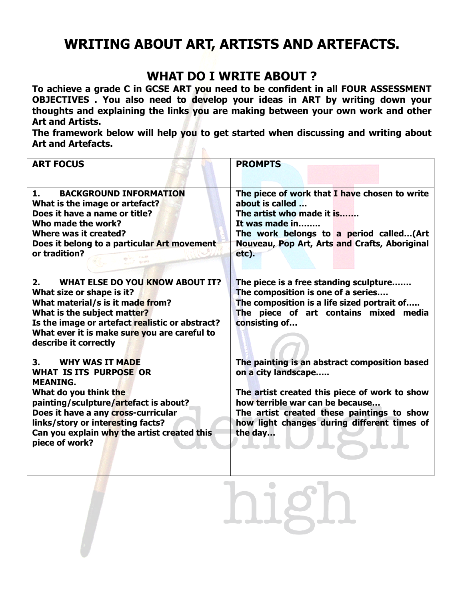## **WRITING ABOUT ART, ARTISTS AND ARTEFACTS.**

## **WHAT DO I WRITE ABOUT ?**

**To achieve a grade C in GCSE ART you need to be confident in all FOUR ASSESSMENT OBJECTIVES . You also need to develop your ideas in ART by writing down your thoughts and explaining the links you are making between your own work and other Art and Artists.**

**The framework below will help you to get started when discussing and writing about Art and Artefacts.**

| <b>ART FOCUS</b>                                                                                                                                                                                                                                                                                | <b>PROMPTS</b>                                                                                                                                                                                                                                                   |
|-------------------------------------------------------------------------------------------------------------------------------------------------------------------------------------------------------------------------------------------------------------------------------------------------|------------------------------------------------------------------------------------------------------------------------------------------------------------------------------------------------------------------------------------------------------------------|
| 1.<br><b>BACKGROUND INFORMATION</b><br>What is the image or artefact?<br>Does it have a name or title?<br>Who made the work?<br>Where was it created?<br>Does it belong to a particular Art movement<br>or tradition?                                                                           | The piece of work that I have chosen to write<br>about is called<br>The artist who made it is<br>It was made in<br>The work belongs to a period called(Art<br>Nouveau, Pop Art, Arts and Crafts, Aboriginal<br>etc).                                             |
| <b>WHAT ELSE DO YOU KNOW ABOUT IT?</b><br>2.<br>What size or shape is it?<br>What material/s is it made from?<br>What is the subject matter?<br>Is the image or artefact realistic or abstract?<br>What ever it is make sure you are careful to<br>describe it correctly                        | The piece is a free standing sculpture<br>The composition is one of a series<br>The composition is a life sized portrait of<br>The piece of art contains mixed media<br>consisting of                                                                            |
| 3.<br><b>WHY WAS IT MADE</b><br><b>WHAT IS ITS PURPOSE OR</b><br><b>MEANING.</b><br>What do you think the<br>painting/sculpture/artefact is about?<br>Does it have a any cross-curricular<br>links/story or interesting facts?<br>Can you explain why the artist created this<br>piece of work? | The painting is an abstract composition based<br>on a city landscape<br>The artist created this piece of work to show<br>how terrible war can be because<br>The artist created these paintings to show<br>how light changes during different times of<br>the day |

 $\bigcirc$